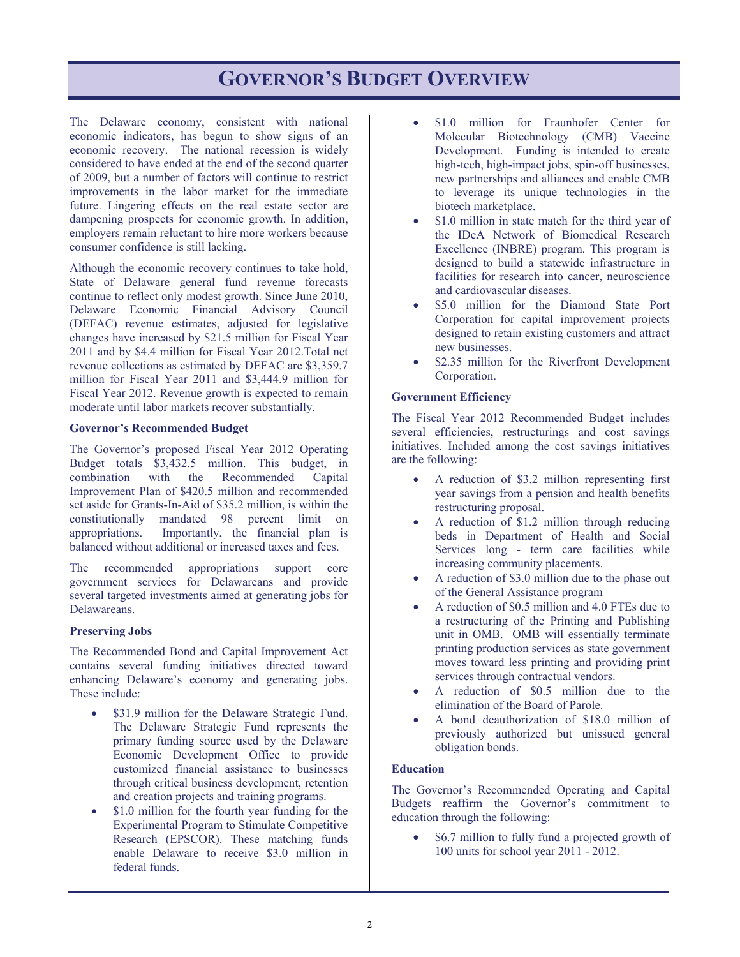# **GOVERNOR'S BUDGET OVERVIEW**

The Delaware economy, consistent with national economic indicators, has begun to show signs of an economic recovery. The national recession is widely considered to have ended at the end of the second quarter of 2009, but a number of factors will continue to restrict improvements in the labor market for the immediate future. Lingering effects on the real estate sector are dampening prospects for economic growth. In addition, employers remain reluctant to hire more workers because consumer confidence is still lacking.

Although the economic recovery continues to take hold, State of Delaware general fund revenue forecasts continue to reflect only modest growth. Since June 2010, Delaware Economic Financial Advisory Council (DEFAC) revenue estimates, adjusted for legislative changes have increased by \$21.5 million for Fiscal Year 2011 and by \$4.4 million for Fiscal Year 2012.Total net revenue collections as estimated by DEFAC are \$3,359.7 million for Fiscal Year 2011 and \$3,444.9 million for Fiscal Year 2012. Revenue growth is expected to remain moderate until labor markets recover substantially.

#### **Governor's Recommended Budget**

The Governor's proposed Fiscal Year 2012 Operating Budget totals \$3,432.5 million. This budget, in combination with the Recommended Capital Improvement Plan of \$420.5 million and recommended set aside for Grants-In-Aid of \$35.2 million, is within the constitutionally mandated 98 percent limit on appropriations. Importantly, the financial plan is balanced without additional or increased taxes and fees.

The recommended appropriations support core government services for Delawareans and provide several targeted investments aimed at generating jobs for Delawareans.

### **Preserving Jobs**

The Recommended Bond and Capital Improvement Act contains several funding initiatives directed toward enhancing Delaware's economy and generating jobs. These include:

- \$31.9 million for the Delaware Strategic Fund. The Delaware Strategic Fund represents the primary funding source used by the Delaware Economic Development Office to provide customized financial assistance to businesses through critical business development, retention and creation projects and training programs.
- \$1.0 million for the fourth year funding for the Experimental Program to Stimulate Competitive Research (EPSCOR). These matching funds enable Delaware to receive \$3.0 million in federal funds.
- \$1.0 million for Fraunhofer Center for Molecular Biotechnology (CMB) Vaccine Development. Funding is intended to create high-tech, high-impact jobs, spin-off businesses, new partnerships and alliances and enable CMB to leverage its unique technologies in the biotech marketplace.
- \$1.0 million in state match for the third year of the IDeA Network of Biomedical Research Excellence (INBRE) program. This program is designed to build a statewide infrastructure in facilities for research into cancer, neuroscience and cardiovascular diseases.
- \$5.0 million for the Diamond State Port Corporation for capital improvement projects designed to retain existing customers and attract new businesses.
- \$2.35 million for the Riverfront Development Corporation.

#### **Government Efficiency**

The Fiscal Year 2012 Recommended Budget includes several efficiencies, restructurings and cost savings initiatives. Included among the cost savings initiatives are the following:

- A reduction of \$3.2 million representing first year savings from a pension and health benefits restructuring proposal.
- A reduction of \$1.2 million through reducing beds in Department of Health and Social Services long - term care facilities while increasing community placements.
- A reduction of \$3.0 million due to the phase out of the General Assistance program
- A reduction of \$0.5 million and 4.0 FTEs due to a restructuring of the Printing and Publishing unit in OMB. OMB will essentially terminate printing production services as state government moves toward less printing and providing print services through contractual vendors.
- A reduction of \$0.5 million due to the elimination of the Board of Parole.
- A bond deauthorization of \$18.0 million of previously authorized but unissued general obligation bonds.

#### **Education**

The Governor's Recommended Operating and Capital Budgets reaffirm the Governor's commitment to education through the following:

• \$6.7 million to fully fund a projected growth of 100 units for school year 2011 - 2012.